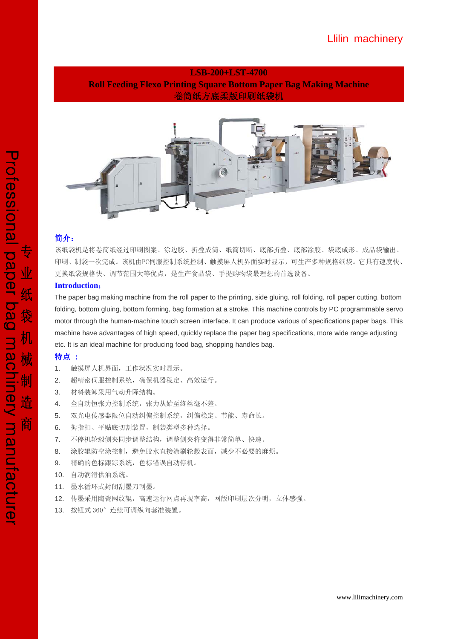# **LSB-200+LST-4700 Roll Feeding Flexo Printing Square Bottom Paper Bag Making Machine**  卷筒纸方底柔版印刷纸袋机



### 简介:

该纸袋机是将卷筒纸经过印刷图案、涂边胶、折叠成筒、纸筒切断、底部折叠、底部涂胶、袋底成形、成品袋输出、 印刷、制袋一次完成。该机由PC伺服控制系统控制、触摸屏人机界面实时显示,可生产多种规格纸袋。它具有速度快、 更换纸袋规格快、调节范围大等优点,是生产食品袋、手提购物袋最理想的首选设备。

### **Introduction**:

The paper bag making machine from the roll paper to the printing, side gluing, roll folding, roll paper cutting, bottom folding, bottom gluing, bottom forming, bag formation at a stroke. This machine controls by PC programmable servo motor through the human-machine touch screen interface. It can produce various of specifications paper bags. This machine have advantages of high speed, quickly replace the paper bag specifications, more wide range adjusting etc. It is an ideal machine for producing food bag, shopping handles bag.

### 特点 :

- 1. 触摸屏人机界面,工作状况实时显示。
- 2. 超精密伺服控制系统,确保机器稳定、高效运行。
- 3. 材料装卸采用气动升降结构。
- 4. 全自动恒张力控制系统,张力从始至终丝毫不差。
- 5. 双光电传感器限位自动纠偏控制系统,纠偏稳定、节能、寿命长。
- 6. 拇指扣、平贴底切割装置,制袋类型多种选择。
- 7. 不停机轮毂侧夹同步调整结构,调整侧夹将变得非常简单、快速。
- 8. 涂胶辊防空涂控制,避免胶水直接涂刷轮毂表面,减少不必要的麻烦。
- 9. 精确的色标跟踪系统,色标错误自动停机。
- 10. 自动润滑供油系统。
- 11. 墨水循环式封闭刮墨刀刮墨。
- 12. 传墨采用陶瓷网纹辊,高速运行网点再现率高,网版印刷层次分明,立体感强。
- 13. 按钮式 360°连续可调纵向套准装置。